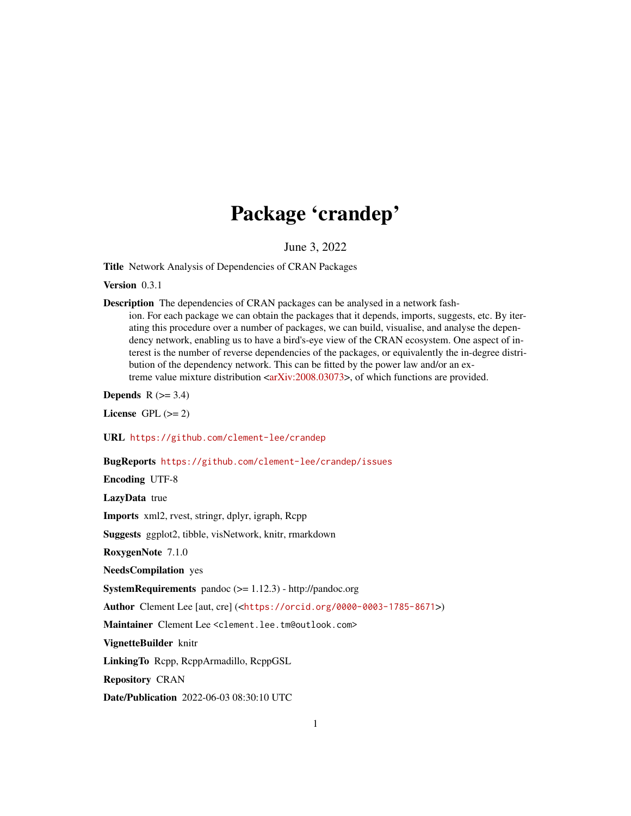## Package 'crandep'

June 3, 2022

Title Network Analysis of Dependencies of CRAN Packages

Version 0.3.1

Description The dependencies of CRAN packages can be analysed in a network fash-

ion. For each package we can obtain the packages that it depends, imports, suggests, etc. By iterating this procedure over a number of packages, we can build, visualise, and analyse the dependency network, enabling us to have a bird's-eye view of the CRAN ecosystem. One aspect of interest is the number of reverse dependencies of the packages, or equivalently the in-degree distribution of the dependency network. This can be fitted by the power law and/or an extreme value mixture distribution  $\langle \text{arXiv:} 2008.03073 \rangle$ , of which functions are provided.

Depends  $R$  ( $>= 3.4$ )

License GPL  $(>= 2)$ 

URL <https://github.com/clement-lee/crandep>

BugReports <https://github.com/clement-lee/crandep/issues>

Encoding UTF-8

LazyData true

Imports xml2, rvest, stringr, dplyr, igraph, Rcpp

Suggests ggplot2, tibble, visNetwork, knitr, rmarkdown

RoxygenNote 7.1.0

NeedsCompilation yes

SystemRequirements pandoc (>= 1.12.3) - http://pandoc.org

Author Clement Lee [aut, cre] (<<https://orcid.org/0000-0003-1785-8671>>)

Maintainer Clement Lee <clement.lee.tm@outlook.com>

VignetteBuilder knitr

LinkingTo Rcpp, RcppArmadillo, RcppGSL

Repository CRAN

Date/Publication 2022-06-03 08:30:10 UTC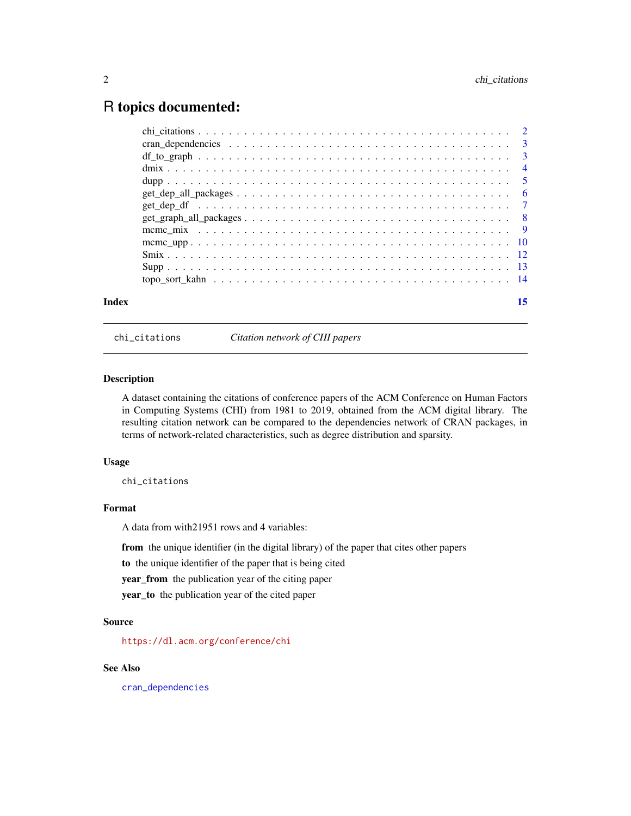### <span id="page-1-0"></span>R topics documented:

| Index |  |  |  |  |  |  |  |  |  |  |  |  |  |  | 15 |
|-------|--|--|--|--|--|--|--|--|--|--|--|--|--|--|----|
|       |  |  |  |  |  |  |  |  |  |  |  |  |  |  |    |
|       |  |  |  |  |  |  |  |  |  |  |  |  |  |  |    |
|       |  |  |  |  |  |  |  |  |  |  |  |  |  |  |    |
|       |  |  |  |  |  |  |  |  |  |  |  |  |  |  |    |
|       |  |  |  |  |  |  |  |  |  |  |  |  |  |  |    |
|       |  |  |  |  |  |  |  |  |  |  |  |  |  |  |    |
|       |  |  |  |  |  |  |  |  |  |  |  |  |  |  |    |
|       |  |  |  |  |  |  |  |  |  |  |  |  |  |  |    |
|       |  |  |  |  |  |  |  |  |  |  |  |  |  |  |    |
|       |  |  |  |  |  |  |  |  |  |  |  |  |  |  |    |
|       |  |  |  |  |  |  |  |  |  |  |  |  |  |  |    |
|       |  |  |  |  |  |  |  |  |  |  |  |  |  |  |    |
|       |  |  |  |  |  |  |  |  |  |  |  |  |  |  |    |

<span id="page-1-1"></span>chi\_citations *Citation network of CHI papers*

#### Description

A dataset containing the citations of conference papers of the ACM Conference on Human Factors in Computing Systems (CHI) from 1981 to 2019, obtained from the ACM digital library. The resulting citation network can be compared to the dependencies network of CRAN packages, in terms of network-related characteristics, such as degree distribution and sparsity.

#### Usage

chi\_citations

#### Format

A data from with21951 rows and 4 variables:

from the unique identifier (in the digital library) of the paper that cites other papers

to the unique identifier of the paper that is being cited

year\_from the publication year of the citing paper

year\_to the publication year of the cited paper

#### Source

<https://dl.acm.org/conference/chi>

#### See Also

[cran\\_dependencies](#page-2-1)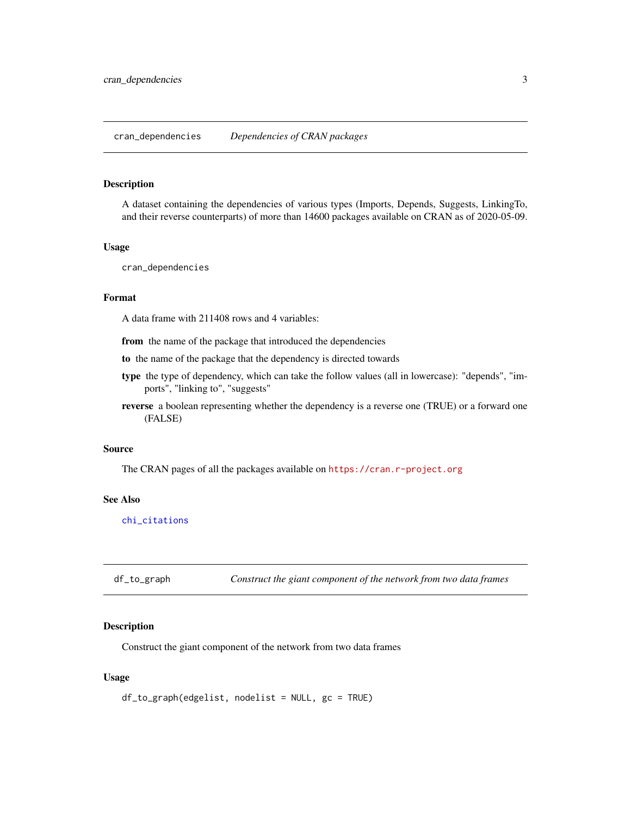<span id="page-2-1"></span><span id="page-2-0"></span>A dataset containing the dependencies of various types (Imports, Depends, Suggests, LinkingTo, and their reverse counterparts) of more than 14600 packages available on CRAN as of 2020-05-09.

#### Usage

```
cran_dependencies
```
#### Format

A data frame with 211408 rows and 4 variables:

from the name of the package that introduced the dependencies

to the name of the package that the dependency is directed towards

- type the type of dependency, which can take the follow values (all in lowercase): "depends", "imports", "linking to", "suggests"
- reverse a boolean representing whether the dependency is a reverse one (TRUE) or a forward one (FALSE)

#### Source

The CRAN pages of all the packages available on <https://cran.r-project.org>

#### See Also

[chi\\_citations](#page-1-1)

<span id="page-2-2"></span>df\_to\_graph *Construct the giant component of the network from two data frames*

#### Description

Construct the giant component of the network from two data frames

#### Usage

```
df_to_graph(edgelist, nodelist = NULL, gc = TRUE)
```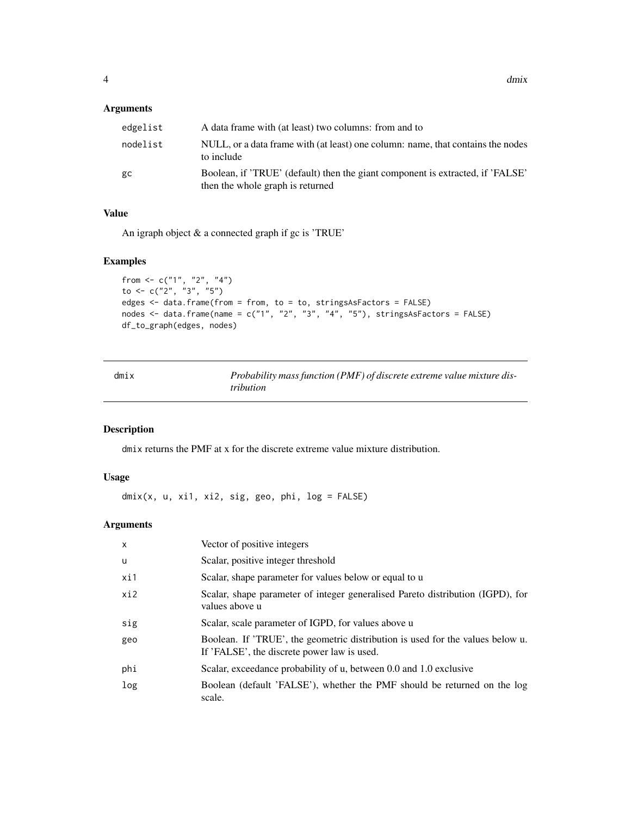#### <span id="page-3-0"></span>Arguments

| edgelist | A data frame with (at least) two columns: from and to                                                              |
|----------|--------------------------------------------------------------------------------------------------------------------|
| nodelist | NULL, or a data frame with (at least) one column: name, that contains the nodes<br>to include                      |
| gc       | Boolean, if 'TRUE' (default) then the giant component is extracted, if 'FALSE'<br>then the whole graph is returned |

#### Value

An igraph object & a connected graph if gc is 'TRUE'

#### Examples

```
from \leq c("1", "2", "4")to \leq c("2", "3", "5")
edges <- data.frame(from = from, to = to, stringsAsFactors = FALSE)
nodes \le data.frame(name = c("1", "2", "3", "4", "5"), stringsAsFactors = FALSE)
df_to_graph(edges, nodes)
```
<span id="page-3-1"></span>

| dmix | Probability mass function (PMF) of discrete extreme value mixture dis- |
|------|------------------------------------------------------------------------|
|      | <i>tribution</i>                                                       |

#### Description

dmix returns the PMF at x for the discrete extreme value mixture distribution.

#### Usage

dmix(x, u, xi1, xi2, sig, geo, phi, log = FALSE)

#### Arguments

| $\mathsf{x}$ | Vector of positive integers                                                                                                   |
|--------------|-------------------------------------------------------------------------------------------------------------------------------|
| u            | Scalar, positive integer threshold                                                                                            |
| xi1          | Scalar, shape parameter for values below or equal to u                                                                        |
| xi2          | Scalar, shape parameter of integer generalised Pareto distribution (IGPD), for<br>values above u                              |
| sig          | Scalar, scale parameter of IGPD, for values above u                                                                           |
| geo          | Boolean. If 'TRUE', the geometric distribution is used for the values below u.<br>If 'FALSE', the discrete power law is used. |
| phi          | Scalar, exceedance probability of u, between 0.0 and 1.0 exclusive                                                            |
| log          | Boolean (default 'FALSE'), whether the PMF should be returned on the log<br>scale.                                            |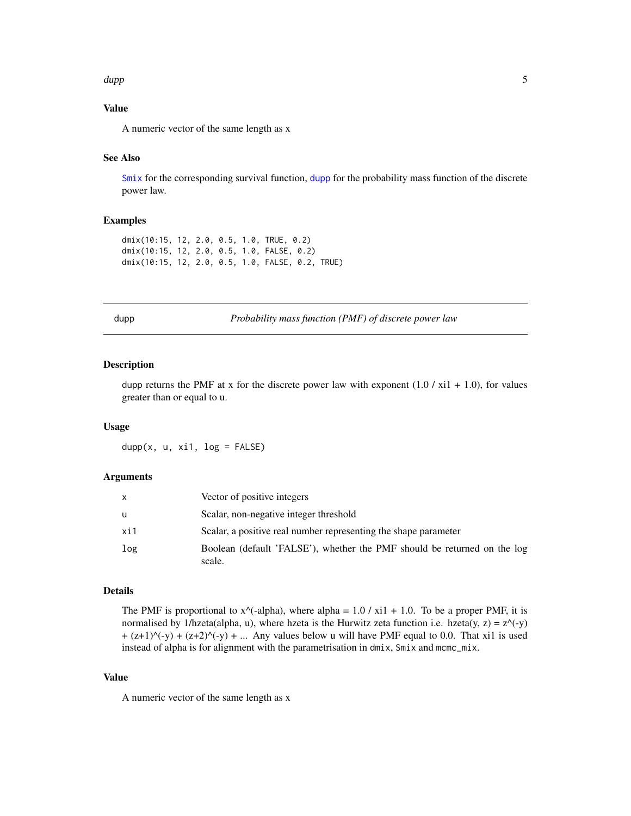#### <span id="page-4-0"></span>dupp 5.5 million of the contract of the contract of the contract of the contract of the contract of the contract of the contract of the contract of the contract of the contract of the contract of the contract of the contra

#### Value

A numeric vector of the same length as x

#### See Also

 $\text{Smix}$  $\text{Smix}$  $\text{Smix}$  for the corresponding survival function, [dupp](#page-4-1) for the probability mass function of the discrete power law.

#### Examples

```
dmix(10:15, 12, 2.0, 0.5, 1.0, TRUE, 0.2)
dmix(10:15, 12, 2.0, 0.5, 1.0, FALSE, 0.2)
dmix(10:15, 12, 2.0, 0.5, 1.0, FALSE, 0.2, TRUE)
```
<span id="page-4-1"></span>

dupp *Probability mass function (PMF) of discrete power law*

#### Description

dupp returns the PMF at x for the discrete power law with exponent  $(1.0 / xi1 + 1.0)$ , for values greater than or equal to u.

#### Usage

 $dupp(x, u, xi1, log = FALSE)$ 

#### Arguments

| X   | Vector of positive integers                                                        |
|-----|------------------------------------------------------------------------------------|
| u   | Scalar, non-negative integer threshold                                             |
| xi1 | Scalar, a positive real number representing the shape parameter                    |
| log | Boolean (default 'FALSE'), whether the PMF should be returned on the log<br>scale. |

#### Details

The PMF is proportional to  $x^{\wedge}$ -alpha), where alpha = 1.0 / xi1 + 1.0. To be a proper PMF, it is normalised by 1/hzeta(alpha, u), where hzeta is the Hurwitz zeta function i.e. hzeta(y, z) =  $z$ <sup> $\land$ </sup>(-y)  $+(z+1)^{(-y)} + (z+2)^{(-y)} + ...$  Any values below u will have PMF equal to 0.0. That xi1 is used instead of alpha is for alignment with the parametrisation in dmix, Smix and mcmc\_mix.

#### Value

A numeric vector of the same length as x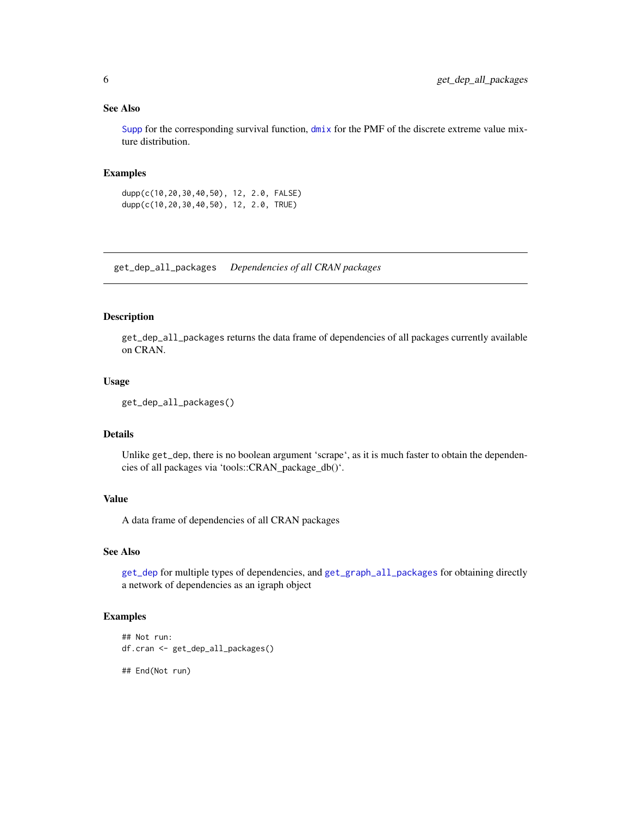#### <span id="page-5-0"></span>See Also

[Supp](#page-12-1) for the corresponding survival function, [dmix](#page-3-1) for the PMF of the discrete extreme value mixture distribution.

#### Examples

dupp(c(10,20,30,40,50), 12, 2.0, FALSE) dupp(c(10,20,30,40,50), 12, 2.0, TRUE)

<span id="page-5-1"></span>get\_dep\_all\_packages *Dependencies of all CRAN packages*

#### Description

get\_dep\_all\_packages returns the data frame of dependencies of all packages currently available on CRAN.

#### Usage

```
get_dep_all_packages()
```
#### Details

Unlike get\_dep, there is no boolean argument 'scrape', as it is much faster to obtain the dependencies of all packages via 'tools::CRAN\_package\_db()'.

#### Value

A data frame of dependencies of all CRAN packages

#### See Also

[get\\_dep](#page-6-1) for multiple types of dependencies, and [get\\_graph\\_all\\_packages](#page-7-1) for obtaining directly a network of dependencies as an igraph object

#### Examples

```
## Not run:
df.cran <- get_dep_all_packages()
## End(Not run)
```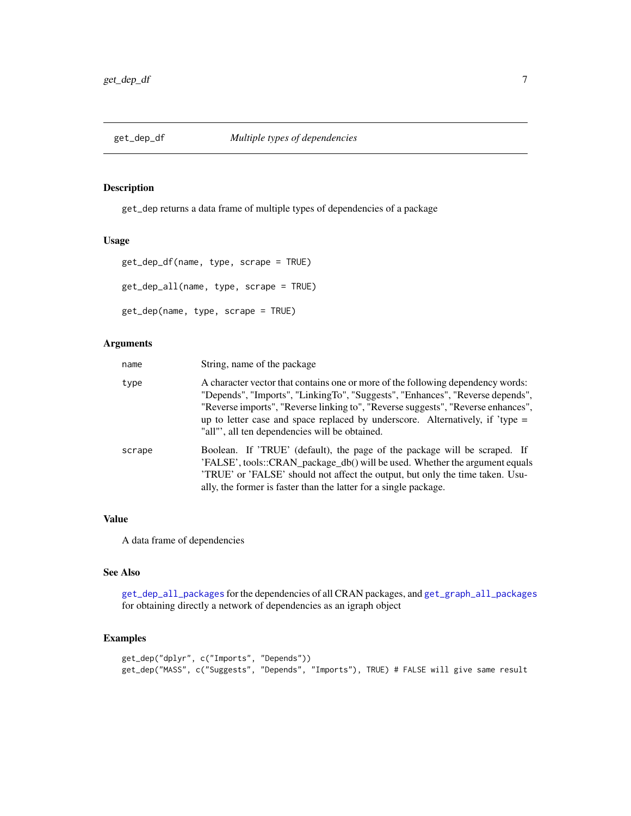<span id="page-6-1"></span><span id="page-6-0"></span>

get\_dep returns a data frame of multiple types of dependencies of a package

#### Usage

```
get_dep_df(name, type, scrape = TRUE)
get_dep_all(name, type, scrape = TRUE)
get_dep(name, type, scrape = TRUE)
```
#### Arguments

| name   | String, name of the package                                                                                                                                                                                                                                                                                                                                                               |
|--------|-------------------------------------------------------------------------------------------------------------------------------------------------------------------------------------------------------------------------------------------------------------------------------------------------------------------------------------------------------------------------------------------|
| type   | A character vector that contains one or more of the following dependency words:<br>"Depends", "Imports", "LinkingTo", "Suggests", "Enhances", "Reverse depends",<br>"Reverse imports", "Reverse linking to", "Reverse suggests", "Reverse enhances",<br>up to letter case and space replaced by underscore. Alternatively, if 'type $=$<br>"all"', all ten dependencies will be obtained. |
| scrape | Boolean. If 'TRUE' (default), the page of the package will be scraped. If<br>'FALSE', tools::CRAN_package_db() will be used. Whether the argument equals<br>TRUE' or 'FALSE' should not affect the output, but only the time taken. Usu-<br>ally, the former is faster than the latter for a single package.                                                                              |

#### Value

A data frame of dependencies

#### See Also

[get\\_dep\\_all\\_packages](#page-5-1) for the dependencies of all CRAN packages, and [get\\_graph\\_all\\_packages](#page-7-1) for obtaining directly a network of dependencies as an igraph object

#### Examples

```
get_dep("dplyr", c("Imports", "Depends"))
get_dep("MASS", c("Suggests", "Depends", "Imports"), TRUE) # FALSE will give same result
```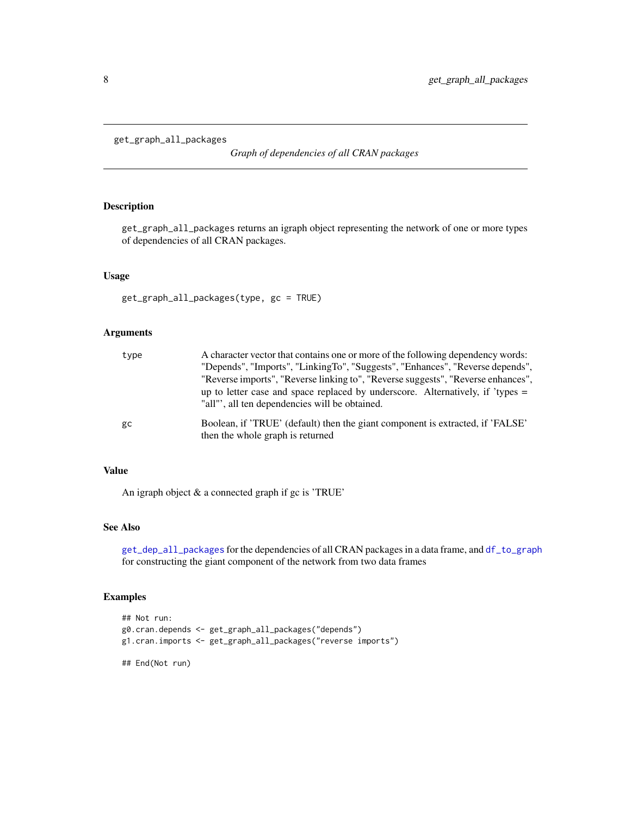```
get_graph_all_packages
```
*Graph of dependencies of all CRAN packages*

#### Description

get\_graph\_all\_packages returns an igraph object representing the network of one or more types of dependencies of all CRAN packages.

#### Usage

get\_graph\_all\_packages(type, gc = TRUE)

#### Arguments

| type | A character vector that contains one or more of the following dependency words:<br>"Depends", "Imports", "LinkingTo", "Suggests", "Enhances", "Reverse depends",<br>"Reverse imports", "Reverse linking to", "Reverse suggests", "Reverse enhances",<br>up to letter case and space replaced by underscore. Alternatively, if 'types $=$<br>"all", all ten dependencies will be obtained. |
|------|-------------------------------------------------------------------------------------------------------------------------------------------------------------------------------------------------------------------------------------------------------------------------------------------------------------------------------------------------------------------------------------------|
| gc   | Boolean, if 'TRUE' (default) then the giant component is extracted, if 'FALSE'<br>then the whole graph is returned                                                                                                                                                                                                                                                                        |

#### Value

An igraph object & a connected graph if gc is 'TRUE'

#### See Also

[get\\_dep\\_all\\_packages](#page-5-1) for the dependencies of all CRAN packages in a data frame, and [df\\_to\\_graph](#page-2-2) for constructing the giant component of the network from two data frames

#### Examples

```
## Not run:
g0.cran.depends <- get_graph_all_packages("depends")
g1.cran.imports <- get_graph_all_packages("reverse imports")
## End(Not run)
```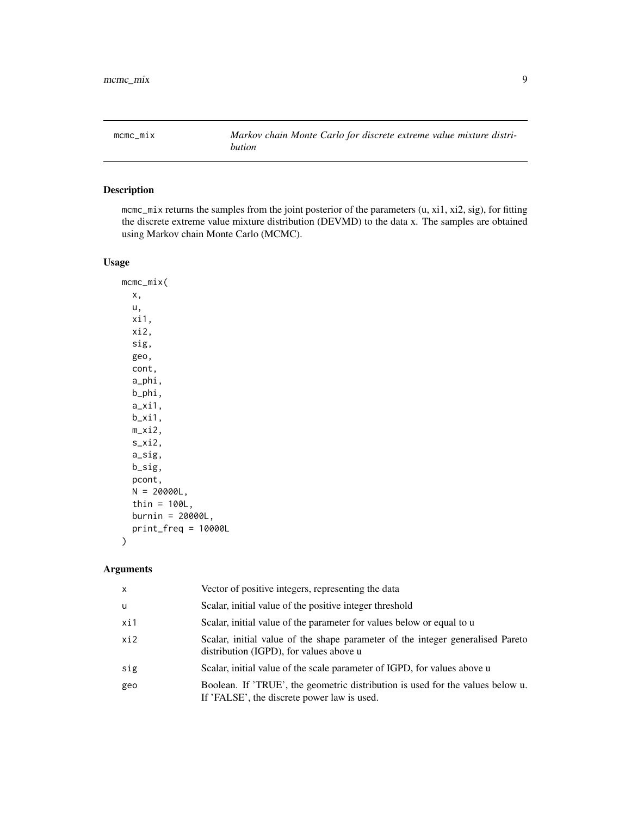<span id="page-8-1"></span><span id="page-8-0"></span>mcmc\_mix *Markov chain Monte Carlo for discrete extreme value mixture distribution*

#### Description

mcmc\_mix returns the samples from the joint posterior of the parameters (u, xi1, xi2, sig), for fitting the discrete extreme value mixture distribution (DEVMD) to the data x. The samples are obtained using Markov chain Monte Carlo (MCMC).

#### Usage

mcmc\_mix( x, u, xi1, xi2, sig, geo, cont, a\_phi, b\_phi, a\_xi1, b\_xi1, m\_xi2, s\_xi2, a\_sig, b\_sig, pcont,  $N = 20000L,$ thin =  $100L$ , burnin = 20000L, print\_freq = 10000L )

#### Arguments

| X   | Vector of positive integers, representing the data                                                                            |
|-----|-------------------------------------------------------------------------------------------------------------------------------|
| u   | Scalar, initial value of the positive integer threshold                                                                       |
| xi1 | Scalar, initial value of the parameter for values below or equal to u                                                         |
| xi2 | Scalar, initial value of the shape parameter of the integer generalised Pareto<br>distribution (IGPD), for values above u     |
| sig | Scalar, initial value of the scale parameter of IGPD, for values above u                                                      |
| geo | Boolean. If 'TRUE', the geometric distribution is used for the values below u.<br>If 'FALSE', the discrete power law is used. |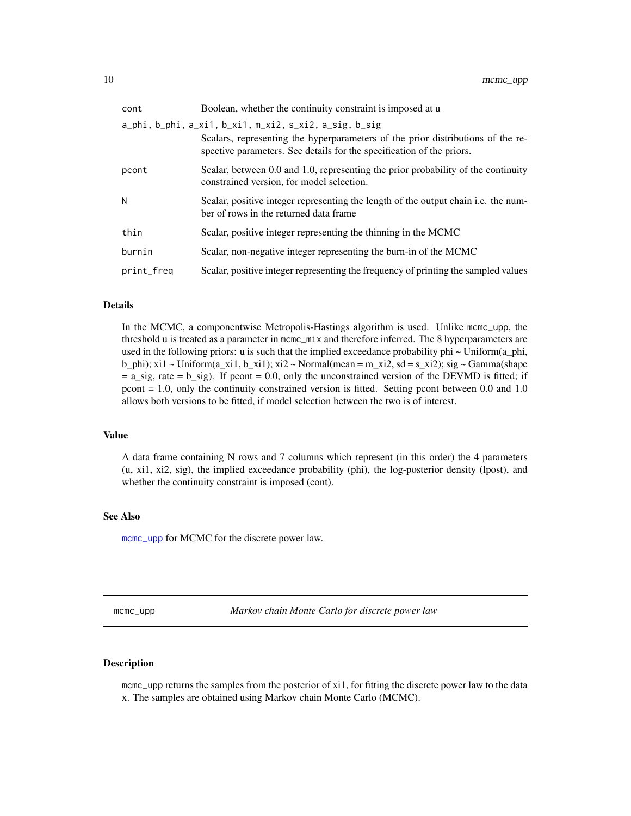<span id="page-9-0"></span>

| cont       | Boolean, whether the continuity constraint is imposed at u                                                                                                                                                         |
|------------|--------------------------------------------------------------------------------------------------------------------------------------------------------------------------------------------------------------------|
|            | a_phi, b_phi, a_xi1, b_xi1, m_xi2, s_xi2, a_sig, b_sig<br>Scalars, representing the hyperparameters of the prior distributions of the re-<br>spective parameters. See details for the specification of the priors. |
| pcont      | Scalar, between 0.0 and 1.0, representing the prior probability of the continuity<br>constrained version, for model selection.                                                                                     |
| N          | Scalar, positive integer representing the length of the output chain i.e. the num-<br>ber of rows in the returned data frame                                                                                       |
| thin       | Scalar, positive integer representing the thinning in the MCMC                                                                                                                                                     |
| burnin     | Scalar, non-negative integer representing the burn-in of the MCMC                                                                                                                                                  |
| print_freq | Scalar, positive integer representing the frequency of printing the sampled values                                                                                                                                 |
|            |                                                                                                                                                                                                                    |

#### Details

In the MCMC, a componentwise Metropolis-Hastings algorithm is used. Unlike mcmc\_upp, the threshold u is treated as a parameter in mcmc\_mix and therefore inferred. The 8 hyperparameters are used in the following priors: u is such that the implied exceedance probability phi ~ Uniform(a\_phi, b\_phi); xi1 ~ Uniform(a\_xi1, b\_xi1); xi2 ~ Normal(mean = m\_xi2, sd = s\_xi2); sig ~ Gamma(shape  $= a_s$  sig, rate  $= b_s$  sig). If pcont  $= 0.0$ , only the unconstrained version of the DEVMD is fitted; if pcont = 1.0, only the continuity constrained version is fitted. Setting pcont between 0.0 and 1.0 allows both versions to be fitted, if model selection between the two is of interest.

#### Value

A data frame containing N rows and 7 columns which represent (in this order) the 4 parameters (u, xi1, xi2, sig), the implied exceedance probability (phi), the log-posterior density (lpost), and whether the continuity constraint is imposed (cont).

#### See Also

[mcmc\\_upp](#page-9-1) for MCMC for the discrete power law.

<span id="page-9-1"></span>mcmc\_upp *Markov chain Monte Carlo for discrete power law*

#### **Description**

mcmc\_upp returns the samples from the posterior of xi1, for fitting the discrete power law to the data x. The samples are obtained using Markov chain Monte Carlo (MCMC).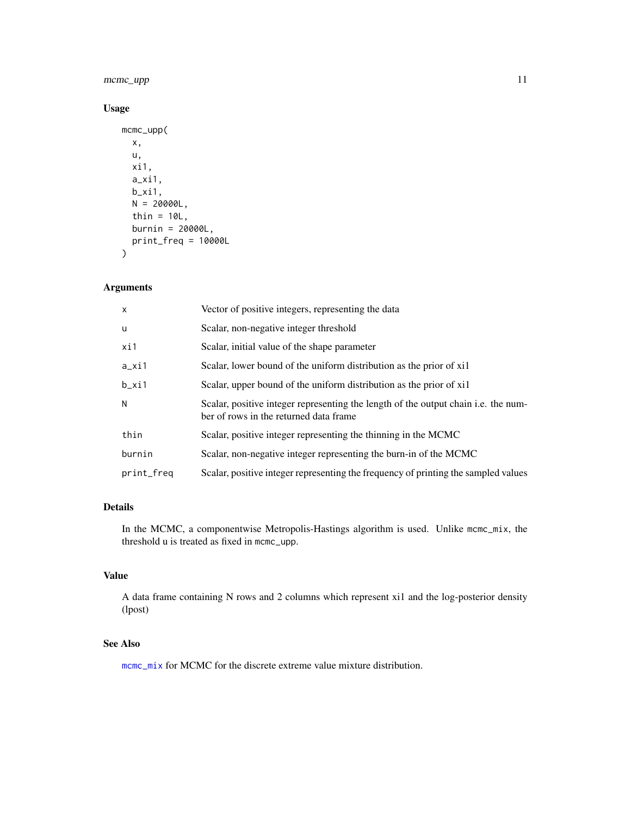#### <span id="page-10-0"></span>mcmc\_upp 11

#### Usage

```
mcmc_upp(
  x,
  u,
  xi1,
  a_xi1,
  b_xi1,
  N = 20000L,thin = 10L,
  burnin = 20000L,
  print_freq = 10000L
\mathcal{L}
```
#### Arguments

| X          | Vector of positive integers, representing the data                                                                           |
|------------|------------------------------------------------------------------------------------------------------------------------------|
| u          | Scalar, non-negative integer threshold                                                                                       |
| xi1        | Scalar, initial value of the shape parameter                                                                                 |
| $a_x$ i1   | Scalar, lower bound of the uniform distribution as the prior of xil                                                          |
| $b_x$ i1   | Scalar, upper bound of the uniform distribution as the prior of xil                                                          |
| N          | Scalar, positive integer representing the length of the output chain i.e. the num-<br>ber of rows in the returned data frame |
| thin       | Scalar, positive integer representing the thinning in the MCMC                                                               |
| burnin     | Scalar, non-negative integer representing the burn-in of the MCMC                                                            |
| print_freq | Scalar, positive integer representing the frequency of printing the sampled values                                           |

#### Details

In the MCMC, a componentwise Metropolis-Hastings algorithm is used. Unlike mcmc\_mix, the threshold u is treated as fixed in mcmc\_upp.

#### Value

A data frame containing N rows and 2 columns which represent xi1 and the log-posterior density (lpost)

#### See Also

[mcmc\\_mix](#page-8-1) for MCMC for the discrete extreme value mixture distribution.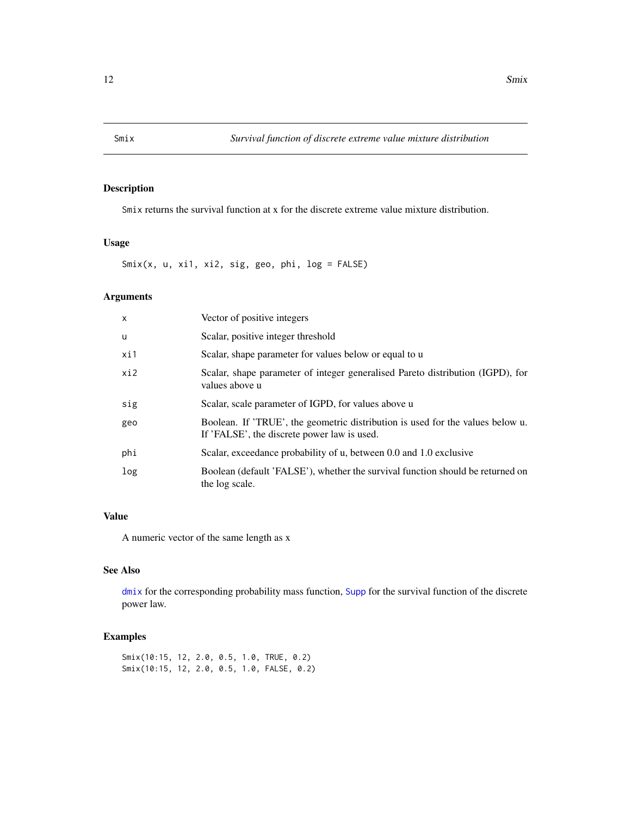<span id="page-11-1"></span><span id="page-11-0"></span>

Smix returns the survival function at x for the discrete extreme value mixture distribution.

#### Usage

Smix(x, u, xi1, xi2, sig, geo, phi, log = FALSE)

#### Arguments

| $\mathsf{x}$ | Vector of positive integers                                                                                                   |
|--------------|-------------------------------------------------------------------------------------------------------------------------------|
| u            | Scalar, positive integer threshold                                                                                            |
| xi1          | Scalar, shape parameter for values below or equal to u                                                                        |
| xi2          | Scalar, shape parameter of integer generalised Pareto distribution (IGPD), for<br>values above u                              |
| sig          | Scalar, scale parameter of IGPD, for values above u                                                                           |
| geo          | Boolean. If 'TRUE', the geometric distribution is used for the values below u.<br>If 'FALSE', the discrete power law is used. |
| phi          | Scalar, exceedance probability of u, between 0.0 and 1.0 exclusive                                                            |
| log          | Boolean (default 'FALSE'), whether the survival function should be returned on<br>the log scale.                              |

#### Value

A numeric vector of the same length as x

#### See Also

[dmix](#page-3-1) for the corresponding probability mass function, [Supp](#page-12-1) for the survival function of the discrete power law.

#### Examples

Smix(10:15, 12, 2.0, 0.5, 1.0, TRUE, 0.2) Smix(10:15, 12, 2.0, 0.5, 1.0, FALSE, 0.2)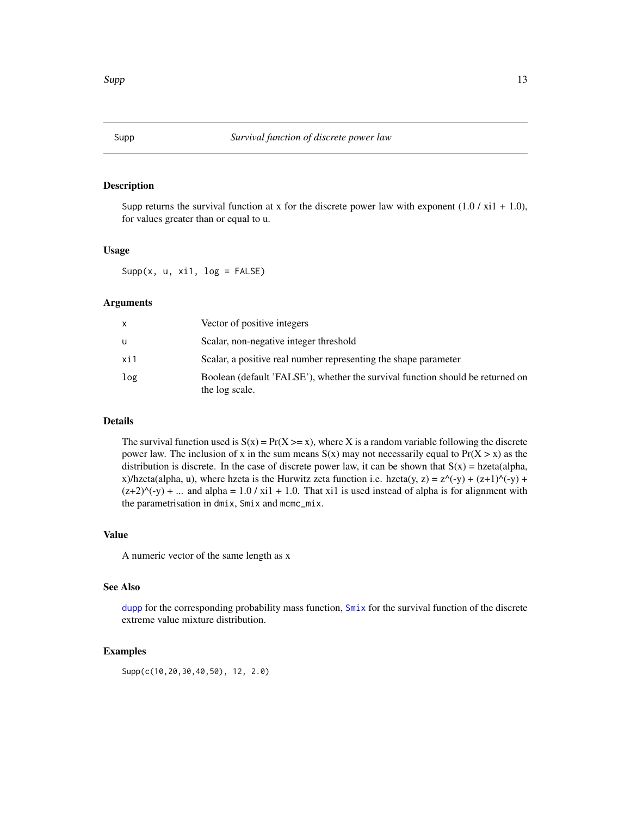<span id="page-12-1"></span><span id="page-12-0"></span>Supp returns the survival function at x for the discrete power law with exponent  $(1.0 / x_i 1 + 1.0)$ , for values greater than or equal to u.

#### Usage

Supp $(x, u, xi1, log = FALSE)$ 

#### Arguments

|     | Vector of positive integers                                                                      |
|-----|--------------------------------------------------------------------------------------------------|
| u   | Scalar, non-negative integer threshold                                                           |
| xi1 | Scalar, a positive real number representing the shape parameter                                  |
| log | Boolean (default 'FALSE'), whether the survival function should be returned on<br>the log scale. |

#### Details

The survival function used is  $S(x) = Pr(X \ge x)$ , where X is a random variable following the discrete power law. The inclusion of x in the sum means  $S(x)$  may not necessarily equal to  $Pr(X > x)$  as the distribution is discrete. In the case of discrete power law, it can be shown that  $S(x) = hzeta(d)pha$ , x)/hzeta(alpha, u), where hzeta is the Hurwitz zeta function i.e. hzeta(y, z) =  $z^{\wedge}$ (-y) + (z+1) $^{\wedge}$ (-y) +  $(z+2)^{(-y)}$  + ... and alpha = 1.0 / xi1 + 1.0. That xi1 is used instead of alpha is for alignment with the parametrisation in dmix, Smix and mcmc\_mix.

#### Value

A numeric vector of the same length as x

#### See Also

[dupp](#page-4-1) for the corresponding probability mass function, [Smix](#page-11-1) for the survival function of the discrete extreme value mixture distribution.

#### Examples

Supp(c(10,20,30,40,50), 12, 2.0)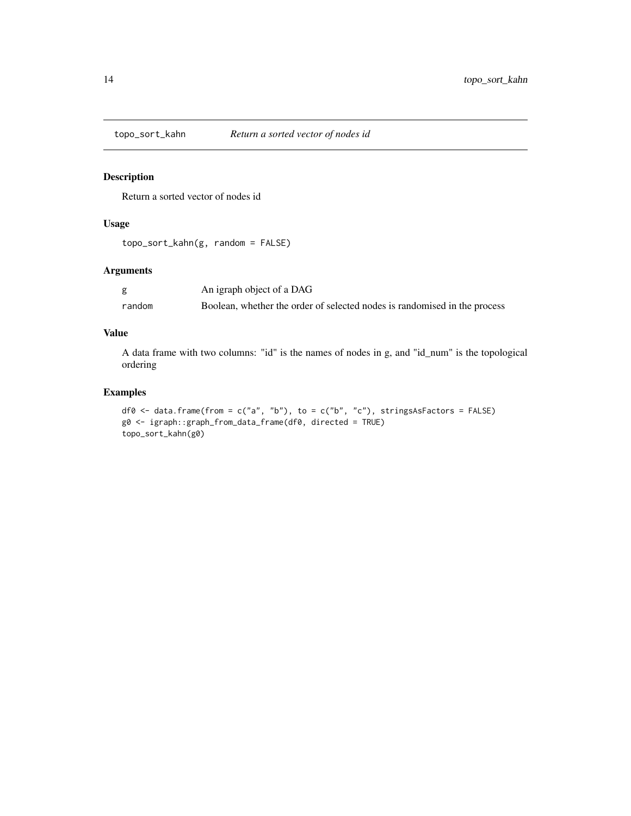<span id="page-13-0"></span>

Return a sorted vector of nodes id

#### Usage

topo\_sort\_kahn(g, random = FALSE)

#### Arguments

|        | An igraph object of a DAG                                                 |
|--------|---------------------------------------------------------------------------|
| random | Boolean, whether the order of selected nodes is randomised in the process |

#### Value

A data frame with two columns: "id" is the names of nodes in g, and "id\_num" is the topological ordering

#### Examples

df0 <- data.frame(from = c("a", "b"), to = c("b", "c"), stringsAsFactors = FALSE) g0 <- igraph::graph\_from\_data\_frame(df0, directed = TRUE) topo\_sort\_kahn(g0)